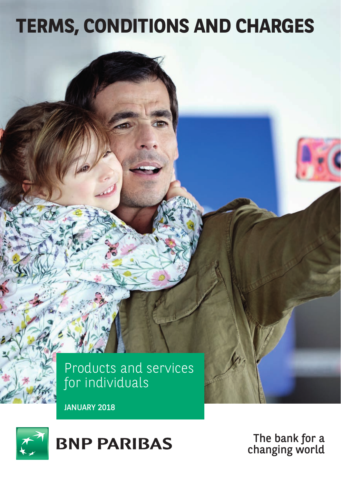# **TERMS, CONDITIONS AND CHARGES**



JANUARY 2018



The bank for a changing world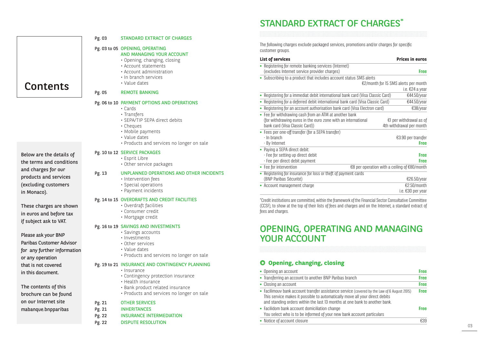# STANDARD EXTRACT OF CHARGES\*

The following charges exclude packaged services, promotions and/or charges for specific customer groups.

### **List of services Prices in euros** • **Registering for remote banking services (Internet)** (excludes Internet service provider charges) **Free •** Subscribing to a product that includes account status SMS alerts €2/month for 15 SMS alerts per month i.e. €24 a year • Registering for a immediat debit international bank card (Visa Classic Card) €44.50/year **•** Registering for a deferred debit international bank card (Visa Classic Card) **€44.50/year**<br>• Registering for an account authorisation bank card (Visa Flectron card) **€38/year** • Registering for an account authorisation bank card (Visa Electron card) **•** Fee for withdrawing cash from an ATM at another bank (for withdrawing euros in the euro zone with an international €1 per withdrawal as of bank card (Visa Classic Card)) **•** Fees per one-off transfer (for a SEPA transfer) - In branch €3.90 per transfer - By Internet **Free •** Paying a SEPA direct debit: - Fee for setting up direct debit **Free** - Fee per direct debit payment **Free**

| • Fee for intervention                                         | €8 per operation with a ceiling of $€80/month$ |
|----------------------------------------------------------------|------------------------------------------------|
| • Registering for insurance for loss or theft of payment cards |                                                |
| (BNP Paribas Sécurité)                                         | €26.50/vear                                    |
| • Account management charge                                    | €2.50/month                                    |
|                                                                | ie €30 ner vear                                |

\*Credit institutions are committed, within the framework of the Financial Sector Consultative Committee (CCSF), to show at the top of their lists of fees and charges and on the Internet, a standard extract of fees and charnes.

# OPENING, OPERATING AND MANAGING YOUR ACCOUNT

# **Opening, changing, closing**

| • Opening an account                                                                                                                                                                                                                                     | Free        |
|----------------------------------------------------------------------------------------------------------------------------------------------------------------------------------------------------------------------------------------------------------|-------------|
| • Transferring an account to another BNP Paribas branch                                                                                                                                                                                                  | Free        |
| • Closing an account                                                                                                                                                                                                                                     | Free        |
| • Facilimouv bank account transfer assistance service (covered by the Law of 6 August 2015)<br>This service makes it possible to automatically move all your direct debits<br>and standing orders within the last 13 months at one bank to another bank. | <b>Free</b> |
| • Facilidom bank account domiciliation change<br>You select who is to be informed of your new bank account particulars                                                                                                                                   | Free        |
| • Notice of account closure                                                                                                                                                                                                                              | €39         |

## Pg. 03 STANDARD EXTRACT OF CHARGES

# Pg. 03 to 05 OPENING, OPERATING

- AND MANAGING YOUR ACCOUNT
	- Opening, changing, closing
- Account statements
- Account administration
- In branch services • Value dates
- 

## Pg. 05 REMOTE BANKING

### Pg. 06 to 10 PAYMENT OPTIONS AND OPERATIONS

- Cards
- Transfers
- SEPA/TIP SEPA direct debits
- Cheques
- Mobile payments
- Value dates
- Products and services no longer on sale

### Pg. 10 to 12 SERVICE PACKAGES

- Esprit Libre
- Other service packages

## Pg. 13 UNPLANNED OPERATIONS AND OTHER INCIDENTS

- Intervention fees
- Special operations
- Payment incidents

## Pg. 14 to 15 OVERDRAFTS AND CREDIT FACILITIES

- Overdraft facilities
- Consumer credit
- Mortgage credit

## Pg. 16 to 19 SAVINGS AND INVESTMENTS

- Savings accounts
- Investments
- Other services
- Value dates
- Products and services no longer on sale

# Pg. 19 to 21 INSURANCE AND CONTINGENCY PLANNING

- Insurance
- Contingency protection insurance
- Health insurance
- Bank product related insurance
- Products and services no longer on sale

# Pg. 21 OTHER SERVICES

- Pg. 21 INHERITANCES
- Pg. 22 INSURANCE INTERMEDIATION
- Pg. 22 DISPUTE RESOLUTION

Below are the details of the terms and conditions and charges for our products and services (excluding customers in Monaco).

**Contents** 

These charges are shown in euros and before tax if subject ask to VAT.

Please ask your BNP Paribas Customer Advisor for any further information or any operation that is not covered in this document.

The contents of this brochure can be found on our Internet site mabanque.bnpparibas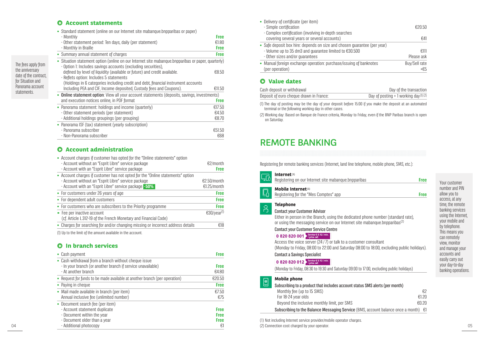# **Account statements**

The fees apply from the anniversary date of the contract, for Situation and Panorama account statements.

| • Standard statement (online on our Internet site mabanque.bnpparibas or paper)                                                                                     |             |
|---------------------------------------------------------------------------------------------------------------------------------------------------------------------|-------------|
| - Monthly                                                                                                                                                           | <b>Free</b> |
| - Other statement period: Ten days, daily (per statement)                                                                                                           | £1.80       |
| - Monthly in Braille                                                                                                                                                | <b>Free</b> |
| • Summary annual statement of charges                                                                                                                               | <b>Free</b> |
| • Situation statement option (online on our Internet site mabangue.bnpparibas or paper, quarterly)<br>- Option 1: Includes savings accounts (excluding securities), |             |
| defined by level of liquidity (available or future) and credit available.                                                                                           | €8.50       |
| - Reflets option: Includes 5 statements                                                                                                                             |             |
| (Holdings in 6 categories including credit and debt, financial instrument accounts                                                                                  |             |
| Including PEA and CIF, Income deposited, Custody fees and Coupons).                                                                                                 | €11.50      |
| • Online statement option: View all your account statements (deposits, savings, investments)                                                                        |             |
| and execution notices online, in PDF format                                                                                                                         | <b>Free</b> |
| • Panorama statement: holdings and income (quarterly)                                                                                                               | €17.50      |
| - Other statement periods (per statement)                                                                                                                           | £4.50       |
| - Additional holdings groupings (per grouping)                                                                                                                      | €8.70       |
| • Panorama ISF (tax) statement (yearly subscription)                                                                                                                |             |
| - Panorama subscriber                                                                                                                                               | €51.50      |
| - Non-Panorama subscriber                                                                                                                                           | €68         |

# $O$  Account administration

| • Account charges if customer has opted for the "Online statements" option<br>- Account without an "Esprit Libre" service package<br>- Account with an "Esprit Libre" service package          | €2/month<br><b>Free</b>    |
|------------------------------------------------------------------------------------------------------------------------------------------------------------------------------------------------|----------------------------|
| • Account charges if customer has not opted for the "Online statements" option<br>- Account without an "Esprit Libre" service package<br>- Account with an "Esprit Libre" service package -50% | €2.50/month<br>€1.25/month |
| • For customers under 26 years of age                                                                                                                                                          | <b>Free</b>                |
| • For dependent adult customers                                                                                                                                                                | <b>Free</b>                |
| • For customers who are subscribers to the Priority programme                                                                                                                                  | <b>Free</b>                |
| • Fee per inactive account<br>(cf. Article L.312-19 of the French Monetary and Financial Code)                                                                                                 | $E30/year^{(1)}$           |
| • Charges for searching for and/or changing missing or incorrect address details                                                                                                               | €18                        |
| (1) Up to the limit of the amount available in the account.                                                                                                                                    |                            |

## **In branch services**

| • Cash payment                                                                                                                             | <b>Free</b>          | <b>Contact a Savings Specialist</b>                                                                                                | accounts and                                               |
|--------------------------------------------------------------------------------------------------------------------------------------------|----------------------|------------------------------------------------------------------------------------------------------------------------------------|------------------------------------------------------------|
| • Cash withdrawal from a branch without cheque issue<br>- In your branch (or another branch if service unavailable)<br>- At another branch | <b>Free</b><br>€4.80 | 0 820 820 012 > Service € 0.12 / min.<br>(Monday to Friday, 08:30 to 19:30 and Saturday 09:00 to 17:00, excluding public holidays) | easily carry out<br>your day-to-day<br>banking operations. |
| • Request for funds to be made available at another branch (per operation)                                                                 | €20.50               | Mobile phone                                                                                                                       |                                                            |
| • Paying in cheque                                                                                                                         | <b>Free</b>          | Subscribing to a product that includes account status SMS alerts (per month)                                                       |                                                            |
| • Mail made available in branch (per item)                                                                                                 | €7.50                | Monthly fee (up to 15 SMS)                                                                                                         |                                                            |
| Annual inclusive fee (unlimited number)                                                                                                    | €75                  | €1.20<br>For 18-24 vear olds                                                                                                       |                                                            |
| • Document search fee (per item)                                                                                                           |                      | €0.20<br>Beyond the inclusive monthly limit, per SMS                                                                               |                                                            |
| - Account statement duplicate                                                                                                              | <b>Free</b>          | Subscribing to the Balance Messaging Service (BMS, account balance once a month) $\epsilon$ 1                                      |                                                            |
| - Document within the year                                                                                                                 | <b>Free</b>          |                                                                                                                                    |                                                            |
| - Document older than a year                                                                                                               | <b>Free</b>          | (1) Not including Internet service provider/mobile operator charges.                                                               |                                                            |
| - Additional photocopy                                                                                                                     | €.                   | (2) Connection cost charged by your operator.                                                                                      | ٦.                                                         |
|                                                                                                                                            |                      |                                                                                                                                    | $\boxed{\circ}$                                            |

| • Delivery of certificate (per item)                                                  |                      |
|---------------------------------------------------------------------------------------|----------------------|
| - Simple certification                                                                | £20.50               |
| - Complex certification (involving in-depth searches                                  |                      |
| covering several years or several accounts)                                           | f41                  |
| • Safe deposit box hire: depends on size and chosen quarantee (per year)              |                      |
| - Volume up to 35 dm3 and quarantee limited to $E30.500$                              | f(1)                 |
| - Other sizes and/or quarantees                                                       | Please ask           |
| • Manual foreign exchange operation: purchase/issuing of banknotes<br>(per operation) | Buy/Sell rate<br>+£5 |

# **Value dates**

| Cash deposit or withdrawal              | Day of the transaction                |
|-----------------------------------------|---------------------------------------|
| Deposit of euro cheque drawn in France: | Day of posting $+1$ working day(1)(2) |

(1) The day of posting may be the day of your deposit before 15:00 if you make the deposit at an automated terminal or the following working day in other cases.

(2) Working day: Based on Banque de France criteria, Monday to Friday, even if the BNP Paribas branch is open on Saturday.

# REMOTE BANKING

Registering for remote banking services (Internet, land line telephone, mobile phone, SMS, etc.):

|                 | Internet <sup>(1)</sup><br>Registering on our Internet site mabangue.bnpparibas<br><b>Free</b>                                                                                                                                                                                                                                                                                                                                                                                                                                                                                                                                                                                |  |
|-----------------|-------------------------------------------------------------------------------------------------------------------------------------------------------------------------------------------------------------------------------------------------------------------------------------------------------------------------------------------------------------------------------------------------------------------------------------------------------------------------------------------------------------------------------------------------------------------------------------------------------------------------------------------------------------------------------|--|
| lyg,            | <b>Mobile Internet</b> <sup>(1)</sup><br><b>Free</b><br>Registering for the "Mes Comptes" app                                                                                                                                                                                                                                                                                                                                                                                                                                                                                                                                                                                 |  |
| <u>පි</u>       | <b>Telephone</b><br><b>Contact your Customer Advisor</b><br>Either in person in the Branch, using the dedicated phone number (standard rate),<br>or using the messaging service on our Internet site mabangue.bnpparibas <sup>(2)</sup><br><b>Contact your Customer Service Centre</b><br>0 820 820 001 > Service € 0.12 / min.<br>Access the voice server (24/7) or talk to a customer consultant<br>(Monday to Friday, 08:00 to 22:00 and Saturday 08:00 to 18:00, excluding public holidays).<br><b>Contact a Savings Specialist</b><br>0 820 820 012 > Service € 0.12 / min.<br>(Monday to Friday, 08:30 to 19:30 and Saturday 09:00 to 17:00, excluding public holidays) |  |
| $\boxed{\circ}$ | <b>Mobile phone</b><br>Subscribing to a product that includes account status SMS alerts (per month)<br>€2<br>Monthly fee (up to 15 SMS)<br>€1.20<br>For 18-24 year olds<br>£0.20<br>Beyond the inclusive monthly limit, per SMS<br>Subscribing to the Balance Messaging Service (BMS, account balance once a month) $\epsilon$ 1                                                                                                                                                                                                                                                                                                                                              |  |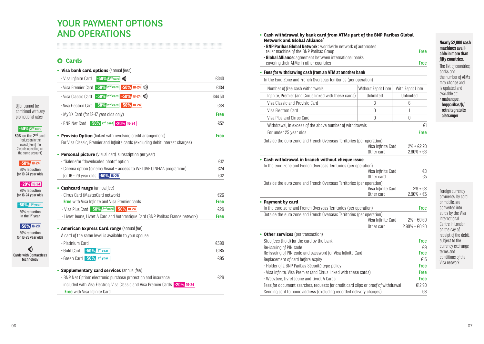# YOUR PAYMENT OPTIONS AND OPERATIONS

# **Cards**

|                                                                                                                                   | • Visa bank card options (annual fees)                                                                                                          |             |
|-----------------------------------------------------------------------------------------------------------------------------------|-------------------------------------------------------------------------------------------------------------------------------------------------|-------------|
|                                                                                                                                   | - Visa Infinite Card<br>$-50\%$ 2 <sup>nd</sup> card $\omega$ ))                                                                                | €340        |
|                                                                                                                                   | $-50\%$ 18-24 (1))<br>- Visa Premier Card -50% 2 <sup>nd</sup> card                                                                             | €134        |
|                                                                                                                                   | $-50\%$ 2 <sup>nd</sup> card $-50\%$ 18-24 1))<br>- Visa Classic Card                                                                           | €44.50      |
| Offer cannot be                                                                                                                   | $-50\%$ 2 <sup>nd</sup> card $-50\%$ 18-24<br>- Visa Flectron Card                                                                              | €38         |
| combined with any<br>promotional rates                                                                                            | - MyB's Card (for 12-17 year olds only)                                                                                                         | <b>Free</b> |
|                                                                                                                                   | $-50\%$ 2 <sup>nd</sup> card $-20\%$ 16-24<br>- BNP Net Card                                                                                    | €52         |
| $-50\%$ 2 <sup>nd</sup> card<br>50% on the 2 <sup>nd</sup> card<br>(reduction in the<br>lowest fee of the<br>2 cards operating on | • Provisio Option (linked with revolving credit arrangement)<br>For Visa Classic, Premier and Infinite cards (excluding debit interest charges) | <b>Free</b> |
| the same account)                                                                                                                 | • Personal picture (visual card, subscription per year)                                                                                         |             |
| $-50\%$ 18-24                                                                                                                     | - "Galerie" or "downloaded photo" option                                                                                                        | €12         |
| 50% reduction<br>for 18-24 year olds                                                                                              | - Cinema option (cinema Visual + access to WE LOVE CINEMA programme)                                                                            | €24         |
|                                                                                                                                   | for 16 - 29 year olds - 50% 16-29                                                                                                               | €12         |
| $-20\%$ 16-24<br>20% reduction                                                                                                    | • Cashcard range (annual fee)                                                                                                                   |             |
| for 16-24 year olds                                                                                                               | - Cirrus Card (MasterCard network)                                                                                                              | £26         |
| $-50\%$ <sup>1st</sup> year                                                                                                       | <b>Free</b> with Visa Infinite and Visa Premier cards                                                                                           | <b>Free</b> |
| 50% reduction                                                                                                                     | - Visa Plus Card -50% 2 <sup>nd</sup> card -50% 18-24                                                                                           | €26         |
| in the 1 <sup>st</sup> year                                                                                                       | - Livret Jeune, Livret A Card and Automatique Card (BNP Paribas France network)                                                                 | Free        |
| $-50\%$ 16-29<br>50% reduction<br>for 16-29 year olds                                                                             | • American Express Card range (annual fee)<br>A card of the same level is available to your spouse                                              |             |
|                                                                                                                                   | - Platinium Card                                                                                                                                | €590        |
| )))                                                                                                                               | - Gold Card<br>$-50%$<br>1 <sup>st</sup> year                                                                                                   | €185        |
| <b>Cards with Contactless</b><br>technology                                                                                       | - Green Card -50% 1st year                                                                                                                      | €95         |
|                                                                                                                                   | • Supplementary card services (annual fee)                                                                                                      |             |
|                                                                                                                                   | - BNP Net Option: electronic purchase protection and insurance                                                                                  | €26         |
|                                                                                                                                   | included with Visa Electron, Visa Classic and Visa Premier Cards <b>-20%</b> 16-24                                                              |             |

**Free** with Visa Infinite Card

| teller machine of the BNP Paribas Group<br><b>- Global Alliance:</b> agreement between international banks<br>covering their ATMs in other countries | - BNP Paribas Global Network: worldwide network of automated | <b>Free</b><br><b>Free</b>                                                                                                                                                                                                        |
|------------------------------------------------------------------------------------------------------------------------------------------------------|--------------------------------------------------------------|-----------------------------------------------------------------------------------------------------------------------------------------------------------------------------------------------------------------------------------|
| • Fees for withdrawing cash from an ATM at another bank                                                                                              |                                                              |                                                                                                                                                                                                                                   |
| In the Euro Zone and French Overseas Territories (per operation)                                                                                     |                                                              |                                                                                                                                                                                                                                   |
| Number of free cash withdrawals                                                                                                                      | Without Esprit Libre                                         | With Esprit Libre                                                                                                                                                                                                                 |
| Infinite, Premier (and Cirrus linked with these cards)                                                                                               | Unlimited                                                    | Unlimited                                                                                                                                                                                                                         |
| Visa Classic and Provisio Card                                                                                                                       | 3                                                            | 6                                                                                                                                                                                                                                 |
| Visa Flectron Card                                                                                                                                   | 0                                                            | 1                                                                                                                                                                                                                                 |
| Visa Plus and Cirrus Card                                                                                                                            | 0                                                            | 0                                                                                                                                                                                                                                 |
| Withdrawal, in excess of the above number of withdrawals                                                                                             |                                                              | €1                                                                                                                                                                                                                                |
| For under 25 year olds                                                                                                                               |                                                              | <b>Free</b>                                                                                                                                                                                                                       |
| Outside the euro zone and French Overseas Territories (per operation)                                                                                | Visa Infinite Card<br>Other card                             | $2% + 22.20$<br>$2.90% + \text{£3}$                                                                                                                                                                                               |
| In the euro zone and French Overseas Territories (per operation)                                                                                     |                                                              |                                                                                                                                                                                                                                   |
| Outside the euro zone and French Overseas Territories (per operation)                                                                                | Visa Infinite Card<br>Other card<br>Visa Infinite Card       |                                                                                                                                                                                                                                   |
| <b>Payment by card</b>                                                                                                                               | Other card                                                   |                                                                                                                                                                                                                                   |
| In the euro zone and French Overseas Territories (per operation)<br>Outside the euro zone and French Overseas Territories (per operation)            |                                                              |                                                                                                                                                                                                                                   |
|                                                                                                                                                      | Visa Infinite Card                                           |                                                                                                                                                                                                                                   |
|                                                                                                                                                      | Other card                                                   |                                                                                                                                                                                                                                   |
| <b>Other services</b> (per transaction)                                                                                                              |                                                              |                                                                                                                                                                                                                                   |
| Stop fees (hold) for the card by the bank                                                                                                            |                                                              |                                                                                                                                                                                                                                   |
| Re-issuing of PIN code                                                                                                                               |                                                              |                                                                                                                                                                                                                                   |
| Re-issuing of PIN code and password for Visa Infinite Card                                                                                           |                                                              |                                                                                                                                                                                                                                   |
| Replacement of card before expiry<br>- Holder of a BNP Paribas Sécurité type policy                                                                  |                                                              |                                                                                                                                                                                                                                   |
| - Visa Infinite, Visa Premier (and Cirrus linked with these cards)                                                                                   |                                                              |                                                                                                                                                                                                                                   |
| - Weezbee, Livret Jeune and Livret A Cards                                                                                                           |                                                              |                                                                                                                                                                                                                                   |
| $\bullet$<br>Fees for document searches, requests for credit card slips or proof of withdrawal                                                       |                                                              | €3<br>€5<br>$2% + 63$<br>$2.90% + E5$<br><b>Free</b><br>$2\% + \text{\textsterling}0.60$<br>$2.90\% + \text{\textsterling}0.90$<br><b>Free</b><br>€9<br><b>Free</b><br>£15<br><b>Free</b><br><b>Free</b><br><b>Free</b><br>€12.90 |

**• Cash withdrawal by bank card from ATMs part of the BNP Paribas Global** 

#### **machines available in more than fifty countries.**  The list of countries, banks and the number of ATMs may change and is updated and available at:

**Nearly 52,000 cash** 

• mabanque. bnpparibas/fr/ retraitsgratuits aletranger

Foreign currency payments, by card or mobile, are converted into euros by the Visa International Centre in London on the day of receipt of the debit, subject to the currency exchanne terms and conditions of the Visa network.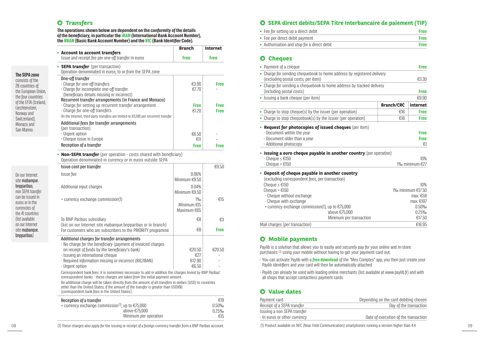# **O** Transfers

**The SEPA zone**  consists of the 28 countries of the European Union, the four countries of the EFTA (Iceland, Liechtenstein, Norway and Switzerland), Monaco and San Marino.

On our Internet site mabanque. bnpparibas, non SEPA transfer can be issued in euros or in the currencies of the 41 countries (list available on our Internet site mahanque. bnpparibas)

#### **The operations shown below are dependent on the conformity of the details of the beneficiary, in particular the IBAN (International Bank Account Number), the BBAN (Basic Bank Account Number) and the BIC (Bank Identifier Code).**

| • Account to account transfers                                                                                                                                                                                                              | <b>Branch</b>               | <b>Internet</b>            |
|---------------------------------------------------------------------------------------------------------------------------------------------------------------------------------------------------------------------------------------------|-----------------------------|----------------------------|
| Issue and receipt fee per one-off transfer in euros                                                                                                                                                                                         | <b>Free</b>                 | <b>Free</b>                |
| • <b>SEPA transfer</b> (per transaction)<br>Operation denominated in euros, to or from the SEPA zone                                                                                                                                        |                             |                            |
| One-off transfer<br>- Charge for one-off transfers<br>- Charge for incomplete one-off transfer<br>(beneficiary details missing or incorrect)                                                                                                | €3.90<br>£7.70              | <b>Free</b>                |
| Recurrent transfer arrangements (in France and Monaco)<br>- Charge for setting up recurrent transfer arrangement<br>- Charge for one-off transfers<br>On the Internet, third-party transfers are limited to $€3,100$ per recurrent transfer | <b>Free</b><br>£1.20        | <b>Free</b><br><b>Free</b> |
| Additional fees for transfer arrangements<br>(per transaction)<br>- Urgent option<br>- Cheque issue in Europe<br>Reception of a transfer                                                                                                    | £6.50<br>€11<br><b>Free</b> | Free                       |

• **Non-SEPA transfer** (per operation - costs shared with beneficiary) Operation denominated in currency or in euros outside SEPA

| Issue cost per transfer                                                                                                                                                                                                                              |                                  | €9.50       |
|------------------------------------------------------------------------------------------------------------------------------------------------------------------------------------------------------------------------------------------------------|----------------------------------|-------------|
| Issue fee                                                                                                                                                                                                                                            | $0.06\%$<br>Minimum €9.50        |             |
| Additional input charges                                                                                                                                                                                                                             | 0.04%<br>Minimum €9.50           |             |
| + currency exchange commission(1)                                                                                                                                                                                                                    | 1%<br>Minimum €15<br>Maximum €65 | €15         |
| To BNP Paribas subsidiary<br>(list on our Internet site mabanque.bnpparibas or in branch)                                                                                                                                                            | €8                               | €3          |
| For customers who are subscribers to the PRIORITY programme                                                                                                                                                                                          | €8                               | <b>Free</b> |
| Additional charges for transfer arrangements                                                                                                                                                                                                         |                                  |             |
| - No charge for the beneficiary (payment of invoiced charges<br>on receipt of funds by the beneficiary's bank)                                                                                                                                       | €20.50                           | €20.50      |
| - Issuing an international cheque                                                                                                                                                                                                                    | €27                              |             |
| - Required information missing or incorrect (BIC/IBAN)                                                                                                                                                                                               | £12.90                           |             |
| - Urgent option                                                                                                                                                                                                                                      | €6.50                            |             |
| Correspondent bank fees: it is sometimes necessary to add in addition the charges levied by BNP Paribas'<br>correspondent banks - these charges are taken from the initial payment amount.                                                           |                                  |             |
| An additional charge will be taken directly from the amount of all transfers in dollars (USD) to countries<br>other than the United States, if the amount of the transfer is greater than USD100.<br>(correspondent bank fees in the United States). |                                  |             |
| .                                                                                                                                                                                                                                                    |                                  |             |

| Reception of a transfer                                                 | €19   |
|-------------------------------------------------------------------------|-------|
| + currency exchange commission <sup>(1)</sup> , up to $\epsilon$ 75,000 | 0.50% |
| above $E75.000$                                                         | 0.25% |
| Minimum per operation                                                   | €15   |

### **SEPA direct debits/SEPA Titre Interbancaire de paiement (TIP)**

| • Fee for setting up a direct debit         | <b>Free</b> |
|---------------------------------------------|-------------|
| • Fee per direct debit payment              | <b>Free</b> |
| • Authorisation and stop for a direct debit | <b>Free</b> |

### **Cheques**

| • Payment of a cheque                                                                                                                                                                                                                                                                                                            |                   | <b>Free</b>                                                                          |
|----------------------------------------------------------------------------------------------------------------------------------------------------------------------------------------------------------------------------------------------------------------------------------------------------------------------------------|-------------------|--------------------------------------------------------------------------------------|
| • Charge for sending chequebook to home address by registered delivery<br>(excluding postal costs, per item)                                                                                                                                                                                                                     |                   | €3.30                                                                                |
| • Charge for sending a chequebook to home address by tracked delivery<br>(including postal costs)                                                                                                                                                                                                                                |                   | <b>Free</b>                                                                          |
| • Issuing a bank cheque (per item)                                                                                                                                                                                                                                                                                               |                   | €9.90                                                                                |
|                                                                                                                                                                                                                                                                                                                                  | <b>Branch/CRC</b> | Internet                                                                             |
| • Charge to stop cheque(s) by the issuer (per operation)                                                                                                                                                                                                                                                                         | £16               | <b>Free</b>                                                                          |
| • Charge to stop chequebook(s) by the issuer (per operation)                                                                                                                                                                                                                                                                     | £16               | <b>Free</b>                                                                          |
| • Request for photocopies of issued cheques (per item)<br>- Document within the year<br>- Document older than a year<br>- Additional photocopy                                                                                                                                                                                   |                   | <b>Free</b><br><b>Free</b><br>€1                                                     |
| • Issuing a euro cheque payable in another country (per operation)                                                                                                                                                                                                                                                               |                   |                                                                                      |
| $-$ Cheque $\leq \text{\textsterling}150$<br>$-$ Cheque $> \text{\eE}150$                                                                                                                                                                                                                                                        |                   | 10%<br>1‰ minimum €27                                                                |
| Deposit of cheque payable in another country<br>۰<br>(excluding correspondent fees, per transaction)<br>Cheque $\leq \text{\textsterling}150$<br>Cheque $> \text{\eE}150$<br>- Cheque without exchange<br>- Cheque with exchange<br>+ currency exchange commission(1), up to €75,000<br>above €75,000<br>Minimum per transaction |                   | 10%<br>$1\%$ minimum $£17.50$<br>max. €58<br>max. $£107$<br>0.50%<br>0.25%<br>€17.50 |
| Mail charges (per transaction)                                                                                                                                                                                                                                                                                                   |                   | €16.95                                                                               |
|                                                                                                                                                                                                                                                                                                                                  |                   |                                                                                      |

# **O** Mobile payments

Paylib is a solution that allows you to easily and securely pay for your online and in-store purchases (1) using your mobile without having to get your payment card out.

- You can activate Paylib with a **free download** of the "Mes Comptes" app, you then just create your Paylib identifiers and your card will then be automatically attached.

- Paylib can already be used with leading online merchants (list available at www.paylib.fr) and with all shops that accept contactless payment cards.

## **Value dates**

| Payment card                 | Depending on the card debiting chosen |
|------------------------------|---------------------------------------|
| Receipt of a SEPA transfer   | Day of the transaction                |
| Issuing a non SEPA transfer  |                                       |
| - In euros or other currency | Date of execution of the transaction  |
|                              |                                       |

(1) Product available on NFC (Near Field Communication) smartphones running a version higher than 4.4.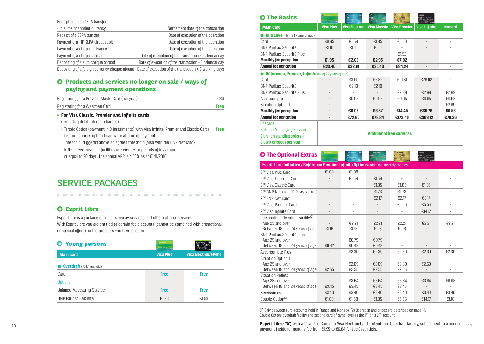| Receipt of a non SEPA transfer                 |                                                       |
|------------------------------------------------|-------------------------------------------------------|
| - in euros or another currency                 | Settlement date of the transaction                    |
| Receipt of a SEPA transfer                     | Date of execution of the operation                    |
| Payment of a TIP SEPA direct debit             | Date of execution of the operation                    |
| Payment of a cheque in France                  | Date of execution of the operation                    |
| Payment of a cheque abroad                     | Date of execution of the transaction -1 calendar day  |
| Depositing of a euro cheque abroad             | Date of execution of the transaction + 1 calendar day |
| Depositing of a foreign currency cheque abroad | Date of execution of the transaction + 2 working days |

# **Q** Products and services no longer on sale / ways of **paying and payment operations**

| Registering for a Provisio MasterCard (per year) | €30  |
|--------------------------------------------------|------|
| Registering for a Weezbee Card                   | Free |

### • For Visa Classic, Premier and Infinite cards

(excluding debit interest charges)

- Tercéo Option (payment in 3 instalments) with Visa Infinite, Premier and Classic Cards **Free** In-store choice: option to activate at time of payment

Threshold: triggered above an agreed threshold (also with the BNP Net Card)

N.B.: Tercéo payment facilities are credits for periods of less than or equal to 90 days. The annual APR is 4.50% as at 01/11/2016.

# SERVICE PACKAGES

# **Esprit Libre**

Esprit Libre is a package of basic everyday services and other optional services. With Esprit Libre you are entitled to certain fee discounts (cannot be combined with promotional or special offers) on the products you have chosen.

| <b>Young persons</b>               |                  |                            |
|------------------------------------|------------------|----------------------------|
| <b>Main card</b>                   | <b>Visa Plus</b> | <b>Visa Electron/MyB's</b> |
| <b>Overdraft</b> (16-17 year olds) |                  |                            |
| Card                               | <b>Free</b>      | <b>Free</b>                |
| <b>Options</b>                     |                  |                            |
| <b>Balance Messaging Service</b>   | <b>Free</b>      | <b>Free</b>                |
| <b>BNP Paribas Sécurité</b>        | €1.98            | £1.98                      |

| <b>The Basics</b>                                           |                   |                          |                     |                                 | on a callares        |                |
|-------------------------------------------------------------|-------------------|--------------------------|---------------------|---------------------------------|----------------------|----------------|
| <b>Main card</b>                                            | <b>Visa Plus</b>  | <b>Visa Electron</b>     | <b>Visa Classic</b> | <b>Visa Premier</b>             | <b>Visa Infinite</b> | <b>No card</b> |
| <b>Initiative</b> $(18 - 24 \text{ years of age})$          |                   |                          |                     |                                 |                      |                |
| Card                                                        | €0.85             | €1.58                    | €1.85               | €5.50                           |                      |                |
| <b>BNP Paribas Sécurité</b>                                 | £1.10             | £1.10                    | £1.10               |                                 |                      |                |
| <b>BNP Paribas Sécurité Plus</b>                            |                   | $\overline{\phantom{a}}$ |                     | €1.52                           |                      |                |
| <b>Monthly fee per option</b>                               | €1.95             | €2.68                    | €2.95               | €7.02                           |                      |                |
| Annual fee per option                                       | €23.40            | €32.16                   | €35.40              | €84.24                          |                      |                |
| <b>Référence, Premier, Infinite</b> (as of 25 years of age) |                   |                          |                     |                                 |                      |                |
| Card                                                        |                   | €3.00                    | €3.52               | £10.61                          | €26.92               |                |
| <b>BNP Paribas Sécurité</b>                                 |                   | €2.10                    | €2.10               |                                 |                      |                |
| <b>BNP Paribas Sécurité Plus</b>                            | $\qquad \qquad =$ | ۰                        |                     | €2.89                           | €2.89                | €2.89          |
| Assurcompte                                                 |                   | €0.95                    | €0.95               | €0.95                           | €0.95                | €0.95          |
| <b>Situation Option 1</b>                                   |                   |                          |                     |                                 |                      | €2.69          |
| <b>Monthly fee per option</b>                               |                   | €6.05                    | €6.57               | €14.45                          | €30.76               | €6.53          |
| Annual fee per option                                       | ٠                 | €72.60                   | €78.84              | €173.40                         | €369.12              | €78.36         |
| Cascade                                                     |                   |                          |                     |                                 |                      |                |
| <b>Balance Messaging Service</b>                            |                   |                          |                     |                                 |                      |                |
| 2 branch standing orders <sup>(1)</sup>                     |                   |                          |                     | <b>Additional free services</b> |                      |                |

# **O** The Optional Extras

2 bank cheques per year

|                                                                                                     |                          |                |                |                | V III (ISSUE) SINCE 1997 1997 |       |
|-----------------------------------------------------------------------------------------------------|--------------------------|----------------|----------------|----------------|-------------------------------|-------|
| <b>Esprit Libre Initiative / Référence Premier, Infinite Options (additional monthly charges)</b>   |                          |                |                |                |                               |       |
| 2 <sup>nd</sup> Visa Plus Card                                                                      | €1.08                    | €1.08          |                |                |                               |       |
| 2 <sup>nd</sup> Visa Electron Card                                                                  |                          | €1.58          | €1.58          |                |                               |       |
| 2 <sup>nd</sup> Visa Classic Card                                                                   |                          | $\bar{ }$      | €1.85          | €1.85          | €1.85                         |       |
| 2 <sup>nd</sup> BNP Net card (18-24 years of age)                                                   |                          | $\bar{ }$      | €1.73          | €1.73          |                               |       |
| 2 <sup>nd</sup> BNP Net Card                                                                        | $\overline{\phantom{0}}$ | $\bar{ }$      | €2.17          | €2.17          | €2.17                         |       |
| 2 <sup>nd</sup> Visa Premier Card                                                                   |                          | ٠              |                | €5.56          | €5.56                         |       |
| 2 <sup>nd</sup> Visa Infinite Card                                                                  |                          | $\bar{ }$      |                | ۰              | €14.17                        |       |
| Personalised Overdraft Facility <sup>(2)</sup><br>Age 25 and over<br>Between 18 and 24 years of age | €1.16                    | £2.21<br>€1.16 | €2.21<br>£1.16 | €2.21<br>€1.16 | €2.21                         | €2.21 |
| <b>BNP Paribas Sécurité Plus</b><br>Age 25 and over<br>Between 18 and 24 years of age               | €0.42                    | €0.79<br>€0.42 | €0.79<br>€0.42 |                |                               |       |
| Assurcompte Plus                                                                                    |                          | €2.30          | £2.30          | €2.30          | €2.30                         | €2.30 |
| Situation Option 1<br>Age 25 and over<br>Between 18 and 24 years of age                             | €2.55                    | €2.69<br>€2.55 | €2.69<br>€2.55 | €2.69<br>€2.55 | €2.69                         |       |
| <b>Situation Reflets</b><br>Age 25 and over<br>Between 18 and 24 years of age                       | €3.45                    | €3.64<br>€3.45 | €3.64<br>€3.45 | €3.64<br>€3.45 | €3.64                         | €0.95 |
| Servissimes                                                                                         | €3.40                    | €3.40          | €3.40          | €3.40          | €3.40                         | €3.40 |
| Couple Option <sup>(3)</sup>                                                                        | E1.08                    | €1.58          | €1.85          | €5.56          | €14.17                        | €1.10 |

(1) Only between euro accounts held in France and Monaco. (2) Operation and prices are described on page 14. Couple Option: overdraft facility and second card of same level as the 1<sup>st</sup>, on a 2<sup>nd</sup> account.

**Esprit Libre "A",** with a Visa Plus Card or a Visa Electron Card and without Overdraft Facility, subsequent to a account the state of the Card or a Visa Plus Card or a Visa Electron Card and without Overdraft Facility, su payment incident: monthly fee from €1.95 to €6.84 for Les Essentiels.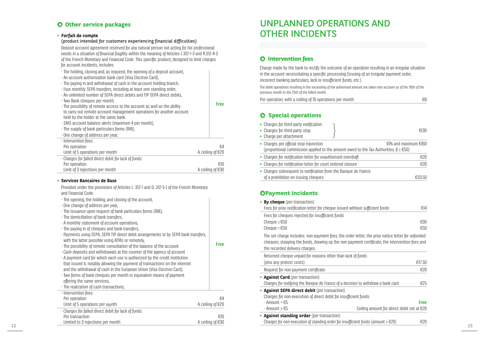# **Other service packages**

### **• Forfait de compte**

(product intended for customers experiencing financial difficulties) Deposit account agreement reserved for any natural person not acting for his professional needs in a situation of financial fragility within the meaning of Articles L.312-1-3 and R.312-4-3 of the French Monetary and Financial Code. This specific product, designed to limit charges for account incidents, includes:

| - The holding, closing and, as required, the opening of a deposit account,<br>- An account authorisation bank card (Visa Electron Card),<br>- The paying in and withdrawal of cash in the account holding branch,<br>- Four monthly SEPA transfers, including at least one standing order,<br>- An unlimited number of SEPA direct debits and TIP SEPA direct debits,<br>- Two Bank cheques per month,<br>- The possibility of remote access to the account as well as the ability<br>to carry out remote account management operations for another account<br>held by the holder at the same bank.<br>- SMS account balance alerts (maximum 4 per month),<br>- The supply of bank particulars forms (RIB),<br>- One change of address per year, | <b>Free</b>             |
|--------------------------------------------------------------------------------------------------------------------------------------------------------------------------------------------------------------------------------------------------------------------------------------------------------------------------------------------------------------------------------------------------------------------------------------------------------------------------------------------------------------------------------------------------------------------------------------------------------------------------------------------------------------------------------------------------------------------------------------------------|-------------------------|
| - Intervention fees:<br>Per operation<br>Limit of 5 operations per month                                                                                                                                                                                                                                                                                                                                                                                                                                                                                                                                                                                                                                                                         | €4<br>A ceiling of €20  |
| - Charges for failed direct debit for lack of funds:<br>Per operation<br>Limit of 3 rejections per month                                                                                                                                                                                                                                                                                                                                                                                                                                                                                                                                                                                                                                         | €10<br>A ceiling of €30 |

### **• Services Bancaires de Base**

Provided under the provisions of Articles L. 312-1 and D. 312-5-1 of the French Monetary and Financial Code:

| - The opening, the holding, and closing of the account, |
|---------------------------------------------------------|
| - One change of address per year,                       |

- The issuance upon request of bank particulars forms (RIB),
- The domiciliation of bank transfers,
- A monthly statement of account operations,
- The paying in of cheques and bank transfers, - Payments using SEPA, SEPA TIP direct debit arrangements or by SEPA bank transfers,
- with the latter possible using ATMs or remotely, - The possibility of remote consultation of the balance of the account - Cash deposits and withdrawals at the counter of the agency of account - A payment card for which each use is authorized by the credit institution that issued it, notably allowing the payment of transactions on the internet and the withdrawal of cash in the European Union (Visa Electron Card), - Two forms of bank cheques per month or equivalent means of payment offering the same services, - The realization of cash transactions ,
- Intervention fees: Per operation €4<br>
limit of 5 operations per month the set of the set of the set of the A celling of €20 Limit of 5 operations per month - Charges for failed direct debit for lack of funds: Per transaction **E10**<br>
Limited to 3 rejections per month **E10**<br>
A ceiling of €30 Limited to 3 rejections per month

# UNPLANNED OPERATIONS AND OTHER INCIDENTS

# **Intervention fees**

Charge made by the bank to rectify the outcome of an operation resulting in an irregular situation in the account necessitating a specific processing (issuing of an irregular payment order, incorrect banking particulars, lack or insufficient funds, etc.)

The debit operations resulting in the exceeding of the authorised amount are taken into account as of the 26th of the previous month to the 25th of the billed month.

Per operation, with a ceiling of 10 operations per month  $E8$ 

### $O$  Special operations

| • Charges for third-party notification<br>• Charges for third-party stop<br>• Charge per attachment   | €130                                                                                                                    |
|-------------------------------------------------------------------------------------------------------|-------------------------------------------------------------------------------------------------------------------------|
| • Charges per official stop injunction                                                                | 10% and maximum €160<br>(proportional commission applied to the amount owed to the Tax Authorities, if $\geq$ $\in$ 50) |
| • Charges for notification letter for unauthorised overdraft                                          | €20                                                                                                                     |
| • Charges for notification letter for court ordered closure                                           | €20                                                                                                                     |
| • Charges subsequent to notification from the Banque de France<br>of a prohibition on issuing cheques | €33.50                                                                                                                  |

## **OPayment incidents**

| - The opening, the holding, and closing of the account,<br>- One change of address per year,                                                                                                                                           |                  | • By cheque (per transaction)<br>Fees for prior notification letter for cheque issued without sufficient funds                                                                                                                        | £14         |
|----------------------------------------------------------------------------------------------------------------------------------------------------------------------------------------------------------------------------------------|------------------|---------------------------------------------------------------------------------------------------------------------------------------------------------------------------------------------------------------------------------------|-------------|
| - The issuance upon request of bank particulars forms (RIB),<br>- The domiciliation of bank transfers,<br>- A monthly statement of account operations,<br>- The paying in of cheques and bank transfers,                               |                  | Fees for cheques rejected for insufficient funds<br>Cheque $\leq \text{\textsterling}50$<br>Cheque $> \text{\large} 50$                                                                                                               | €30<br>€50  |
| - Payments using SEPA, SEPA TIP direct debit arrangements or by SEPA bank transfers,<br>with the latter possible using ATMs or remotely.<br>- The possibility of remote consultation of the balance of the account                     | <b>Free</b>      | The set charge includes: non-payment fees, the order letter, the prior notice letter for unfunded<br>cheques, stopping the funds, drawing up the non-payment certificate, the intervention fees and<br>the recorded delivery charges. |             |
| - Cash deposits and withdrawals at the counter of the agency of account<br>- A payment card for which each use is authorized by the credit institution<br>that issued it, notably allowing the payment of transactions on the internet |                  | Returned cheque unpaid for reasons other than lack of funds<br>(plus any protest costs)                                                                                                                                               | €17.50      |
| and the withdrawal of cash in the European Union (Visa Electron Card),                                                                                                                                                                 |                  | Request for non-payment certificate                                                                                                                                                                                                   | €20         |
| - Two forms of bank cheques per month or equivalent means of payment<br>offering the same services,<br>- The realization of cash transactions,                                                                                         |                  | • Against Card (per transaction)<br>Charges for notifying the Bangue de France of a decision to withdraw a bank card                                                                                                                  | €25         |
| - Intervention fees:<br>Per operation                                                                                                                                                                                                  | €4               | • Against SEPA direct debit (per transaction)<br>Charges for non-execution of direct debit for insufficient funds                                                                                                                     |             |
| Limit of 5 operations per month                                                                                                                                                                                                        | A ceiling of €20 | - Amount < $€5$                                                                                                                                                                                                                       | <b>Free</b> |
| - Charges for failed direct debit for lack of funds:                                                                                                                                                                                   |                  | Ceiling amount for direct debit set at $E20$<br>- Amount ≥ €5                                                                                                                                                                         |             |
| Per transaction                                                                                                                                                                                                                        | €10              | • Against standing order (per transaction)                                                                                                                                                                                            |             |
| Limited to 3 rejections per month                                                                                                                                                                                                      | A ceiling of €30 | Charges for non-execution of standing order for insufficient funds (amount $\geq \epsilon 20$ )                                                                                                                                       | €20         |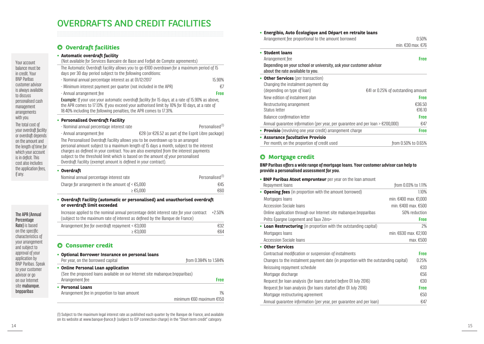# OVERDRAFTS AND CREDIT FACILITIES

# **Overdraft facilities**

# **• Automatic overdraft facility**

| Automatic overdraft facility<br>(Not available for Services Bancaire de Base and Forfait de Compte agreements)                                                                                                                                                                        |                                                     |
|---------------------------------------------------------------------------------------------------------------------------------------------------------------------------------------------------------------------------------------------------------------------------------------|-----------------------------------------------------|
| The Automatic Overdraft Facility allows you to go €100 overdrawn for a maximum period of 15<br>days per 30 day period subject to the following conditions:                                                                                                                            |                                                     |
| - Nominal annual percentage interest as at 01/12/2017                                                                                                                                                                                                                                 | 15.90%                                              |
| - Minimum interest payment per quarter (not included in the APR)                                                                                                                                                                                                                      | €7                                                  |
| - Annual arrangement fee                                                                                                                                                                                                                                                              | <b>Free</b>                                         |
| <b>Example:</b> If your use your automatic overdraft facility for 15 days, at a rate of 15.90% as above,<br>the APR comes to 17.13%. If you exceed your authorised limit by 10% for 10 days, at a rate of<br>18.40% including the following penalties, the APR comes to 17.31%.       |                                                     |
| • Personalised Overdraft Facility                                                                                                                                                                                                                                                     |                                                     |
| - Nominal annual percentage interest rate                                                                                                                                                                                                                                             | Personalised <sup>(1)</sup>                         |
| - Annual arrangement fee                                                                                                                                                                                                                                                              | €28 (or €26.52 as part of the Esprit Libre package) |
| charges as defined in your contract. You are also exempted from the interest payments<br>subject to the threshold limit which is based on the amount of your personalised<br>Overdraft Facility (exempt amount is defined in your contract).                                          |                                                     |
| • Overdraft<br>Nominal annual percentage interest rate                                                                                                                                                                                                                                | Personalised <sup>(1)</sup>                         |
| Charge for arrangement in the amount of $\leq$ $\pounds$ 5,000                                                                                                                                                                                                                        | €45                                                 |
| $\geq \text{\textsterling}5,000$                                                                                                                                                                                                                                                      | €60                                                 |
| • Overdraft Facility (automatic or personalised) and unauthorised overdraft<br>or overdraft limit exceeded<br>Increase applied to the nominal annual percentage debit interest rate for your contract<br>(subject to the maximum rate of interest as defined by the Banque de France) | $+250%$                                             |
| Arrangement fee for overdraft repayment < $E3,000$                                                                                                                                                                                                                                    | €32                                                 |
| $\geq \text{\textsterling}3,000$                                                                                                                                                                                                                                                      | €64                                                 |
| <b>O</b> Consumer credit<br>• Optional Borrower Insurance on personal loans<br>Per year, on the borrowed capital<br>• Online Personal Loan application                                                                                                                                | from 0.384% to 1.584%                               |
| (See the proposed loans available on our Internet site mabanque.bnpparibas)<br>Arrangement fee                                                                                                                                                                                        | <b>Free</b>                                         |
| <b>Personal Loans</b>                                                                                                                                                                                                                                                                 |                                                     |
| Arrangement fee in proportion to loan amount                                                                                                                                                                                                                                          | 1%                                                  |

(1)Subject to the maximum legal interest rate as published each quarter by the Banque de France, and available on its website at www.banque-france.fr (subject to ISP connection charge) in the "Short-term credit" category.

minimum €60 maximum €150

# **• Energibio, Auto Écologique and Départ en retraite loans**

| Arrangement fee proportional to the amount borrowed                                                   | 0.50%                                |
|-------------------------------------------------------------------------------------------------------|--------------------------------------|
|                                                                                                       | min. $£30$ max. $£76$                |
| • Student loans                                                                                       |                                      |
| Arrangement fee                                                                                       | <b>Free</b>                          |
| Depending on your school or university, ask your customer advisor<br>about the rate available to vou. |                                      |
| • Other Services (per transaction)                                                                    |                                      |
| Changing the instalment payment day                                                                   |                                      |
| (depending on type of loan)                                                                           | $E41$ or 0.25% of outstanding amount |
| New edition of instalment plan                                                                        | <b>Free</b>                          |
| Restructuring arrangement                                                                             | €36.50                               |
| Status letter                                                                                         | £16.10                               |
| Balance confirmation letter                                                                           | <b>Free</b>                          |
| Annual quarantee information (per year, per quarantee and per loan $> \text{\textsterling}200,000$ )  | €47                                  |
| • <b>Provisio</b> (revolving one year credit) arrangement charge                                      | <b>Free</b>                          |
| • Assurance facultative Provisio                                                                      |                                      |
| Per month, on the proportion of credit used                                                           | from 0.50% to 0.65%                  |

# **O** Mortgage credit

### **BNP Paribas offers a wide range of mortgage loans. Your customer advisor can help to provide a personalised assessment for you.**

| • BNP Paribas Atout emprunteur per year on the loan amount                          |                           |
|-------------------------------------------------------------------------------------|---------------------------|
| Repayment loans                                                                     | from 0.03% to 1.11%       |
| • Opening fees (in proportion with the amount borrowed)                             | 1.10%                     |
| Mortgages Ioans                                                                     | min. $€400$ max. $€1,000$ |
| Accession Sociale Ioans                                                             | min. $£400$ max. $£500$   |
| Online application through our Internet site mabanque.bnpparibas                    | 50% reduction             |
| Prêts Épargne Logement and Taux Zéro+                                               | <b>Free</b>               |
| • Loan Restructuring (in proportion with the outstanding capital)                   | 2%                        |
| Mortgages loans                                                                     | min. $€630$ max. $€2,100$ |
| Accession Sociale Ioans                                                             | $max. \epsilon 500$       |
| <b>Other Services</b>                                                               |                           |
| Contractual modification or suspension of instalments                               | <b>Free</b>               |
| Changes to the instalment payment date (in proportion with the outstanding capital) | 0.25%                     |
| Reissuing repayment schedule                                                        | €33                       |
| Mortgage discharge                                                                  | €56                       |
| Request for loan analysis (for loans started before 01 July 2016)                   | €30                       |
| Request for loan analysis (for loans started after 01 July 2016)                    | <b>Free</b>               |
| Mortgage restructuring agreement                                                    | €50                       |
| Annual quarantee information (per year, per quarantee and per loan)                 | €47                       |

The APR (Annual Percentage Rate) is based on the specific characteristics of your arrangement and subject to approval of your application by BNP Paribas. Speak to your customer advisor or go on our Internet site mabanque. bnpparibas

if any.

Your account balance must be in credit. Your BNP Paribas customer advisor is always available to discuss personalised cash management arrangements with you. The total cost of your overdraft facility or overdraft depends on the amount and the length of time for which your account is in deficit. This cost also includes the application fees,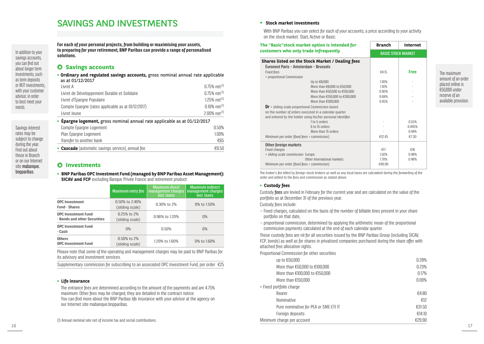# SAVINGS AND INVESTMENTS

In addition to your savings accounts you can find out about longer term investments, such as term deposits or REIT investments, with your customer advisor, in order to best meet your needs.

Savings interest rates may be subject to change during the year. Find out about these in Branch or on our Internet site mabanque. bnpparibas.

**For each of your personal projects, from building or maximising your assets, to preparing for your retirement, BNP Paribas can provide a range of personalised solutions.**

## **Savings accounts**

**• Ordinary and regulated savings accounts,** gross nominal annual rate applicable as at 01/12/2017 Livret A  $0.75\%$  net  $^{(1)}$ Livret de Développement Durable et Solidaire  $0.75\%$  net<sup>(1)</sup> Livret d'Épargne Populaire 1.25% net d'Oriente de la contraste de la contraste de la contraste de la contraste de la contraste de la contraste de la contraste de la contraste de la contraste de la contraste de la contraste Compte Epargne (rates applicable as at  $01/12/2017$ )  $0.10\%$  net<sup>(1)</sup> Livret Jeune  $2.00\%$  net $^{(1)}$ **• Épargne logement,** gross nominal annual rate applicable as at 01/12/2017

| • <b>Cascade</b> (automatic savings service), annual fee | €9.50 |
|----------------------------------------------------------|-------|
| Transfer to another bank                                 | €65   |
| Plan Épargne Logement                                    | 1.00% |
| Compte Épargne Logement                                  | 0.50% |

## **Investments**

**• BNP Paribas OPC Investment Fund (managed by BNP Paribas Asset Management): SICAV and FCP** excluding Banque Privée France and retirement product

|                                                     | <b>Maximum entry fee</b>          | <b>Maximum direct</b><br>management charges<br>incl. taxes | <b>Maximum indirect</b><br>management charges<br>incl. taxes. |
|-----------------------------------------------------|-----------------------------------|------------------------------------------------------------|---------------------------------------------------------------|
| OPC Investment<br><b>Fund - Shares</b>              | 0.50% to 2.40%<br>(sliding scale) | 0.30% to 2%                                                | 0% to 1.50%                                                   |
| OPC Investment Fund<br>- Bonds and other Securities | 0.25% to 2%<br>(sliding scale)    | 0.96% to 1.20%                                             | $0\%$                                                         |
| OPC Investment Fund<br>- Cash                       | 0%                                | 0.50%                                                      | $0\%$                                                         |
| Others<br>OPC Investment Fund                       | 0.50% to 2%<br>(sliding scale)    | 1.20% to 1.60%                                             | 0% to 1.60%                                                   |

Please note that some of the operating and management charges may be paid to BNP Paribas for its advisory and investment services.

Supplementary commission for subscribing to an associated OPC Investment Fund, per order €25

### **• Life insurance**

The entrance fees are determined according to the amount of the payments and are 4.75% maximum. Other fees may be charged, they are detailed in the contract notice. You can find more about the BNP Paribas life insurance with your advisor at the agency on our Internet site mabanque.bnpparibas.

#### **• Stock market investments**

With BNP Paribas you can select for each of your accounts, a price according to your activity on the stock market: Start, Active or Basic.

| The "Basic"stock market option is intended for              | <b>Branch</b> | <b>Internet</b>           |  |
|-------------------------------------------------------------|---------------|---------------------------|--|
| customers who only trade infrequently                       |               | <b>BASIC STOCK MARKET</b> |  |
| Shares listed on the Stock Market / Dealing fees            |               |                           |  |
| Euronext Paris - Amsterdam - Brussels                       |               |                           |  |
| <b>Fixed fees</b>                                           | €4.15         | <b>Free</b>               |  |
| + proportional Commission                                   |               |                           |  |
| Up to €8,000                                                | 1.36%         |                           |  |
| More than €8,000 to €50,000                                 | 1.10%         |                           |  |
| More than €50,000 to €150,000                               | 0.90%         |                           |  |
| More than €150,000 to €300,000                              | 0.68%         |                           |  |
| More than €300,000                                          | 0.45%         |                           |  |
| Or + sliding scale proportional Commission based            |               |                           |  |
| on the number of orders executed in a calendar quarter      |               |                           |  |
| and entered by the holder using his/her personal identifier |               |                           |  |
| 1 to 5 orders                                               |               | 0.55%                     |  |
| 6 to 15 orders                                              |               | 0.495%                    |  |
| More than 15 orders                                         |               | 0.44%                     |  |
| Minimum per order (fixed fees + commission)                 | €12.45        | €7.30                     |  |
| Other foreign markets                                       |               |                           |  |
| Fixed charges                                               | £17           | £16                       |  |
| + sliding scale commission Europe                           | 1.50%         | 0.48%                     |  |
| Other international markets                                 | 1.70%         | 0.48%                     |  |
| Minimum per order (fixed fees + commission)                 | €40.90        |                           |  |

The broker's fee billed by foreign stock brokers as well as any local taxes are calculated during the forwarding of the order and added to the fees and commission as stated above.

#### **• Custody fees**

Custody fees are levied in February for the current year and are calculated on the value of the portfolio as at December 31 of the previous year.

Custody fees include:

- Fixed charges, calculated on the basis of the number of billable lines present in your share portfolio on that date,
- proportional commission, determined by applying the arithmetic mean of the proportional commission payments calculated at the end of each calendar quarter.

These custody fees are nil for all securities issued by the BNP Paribas Group (including SICAV, FCP, bonds) as well as for shares in privatised companies purchased during the share offer with attached free allocation rights.

Proportional Commission for other securities

| up to €50,000                         | 0.28%  |
|---------------------------------------|--------|
| More than €50,000 to €100,000         | 0.23%  |
| More than €100,000 to €150,000        | 0.17%  |
| More than $E150,000$                  | 0.09%  |
| + Fixed portfolio charge              |        |
| Bearer                                | €4.80  |
| Nominative                            | €12    |
| Pure nominative for PEA or SME-ETI IT | €31.50 |
| Foreign deposits                      | €14.10 |
| Minimum charge per account            | €29.90 |
|                                       |        |

The maximum amount of an order placed online is €50,000 under reserve of an available provision.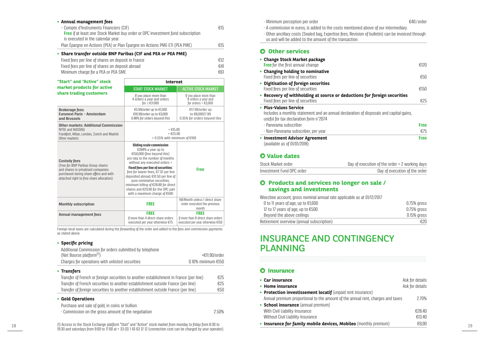| • Share transfer outside BNP Paribas (CIF and PEA or PEA PME)                          |     |
|----------------------------------------------------------------------------------------|-----|
| Plan Épargne en Actions (PEA) or Plan Épargne en Actions PME-ETI (PEA PME)             | €15 |
| is executed in the calendar year.                                                      |     |
| <b>Free</b> if at least one Stock Market buy order or OPC investment fund subscription |     |
| - Compte d'Instruments Financiers (CIF)                                                | €15 |

| Fixed fees per line of shares on deposit in France | €12 |
|----------------------------------------------------|-----|
| Fixed fees per line of shares on deposit abroad    | €41 |
| Minimum charge for a PEA or PEA SME                | €61 |

| • Annual management fees                                                                                                                                              |                                                                                                                                                                                    |                                                                                | - Minimum perception per order                                                                                                                                                                                                                      | €40/order                      |
|-----------------------------------------------------------------------------------------------------------------------------------------------------------------------|------------------------------------------------------------------------------------------------------------------------------------------------------------------------------------|--------------------------------------------------------------------------------|-----------------------------------------------------------------------------------------------------------------------------------------------------------------------------------------------------------------------------------------------------|--------------------------------|
| - Compte d'Instruments Financiers (CIF)<br>Free if at least one Stock Market buy order or OPC investment fund subscription<br>is executed in the calendar year.       |                                                                                                                                                                                    | €15                                                                            | - A commission in euros, is added to the costs mentioned above of our intermediary.<br>- Other ancillary costs (Sealed bag, Expertise fees, Revision of bulletin) can be invoiced through<br>us and will be added to the amount of the transaction. |                                |
| Plan Éparqne en Actions (PEA) or Plan Épargne en Actions PME-ETI (PEA PME)                                                                                            |                                                                                                                                                                                    | €15                                                                            |                                                                                                                                                                                                                                                     |                                |
| • Share transfer outside BNP Paribas (CIF and PEA or PEA PME)                                                                                                         |                                                                                                                                                                                    |                                                                                | <b>O</b> Other services                                                                                                                                                                                                                             |                                |
| Fixed fees per line of shares on deposit in France                                                                                                                    |                                                                                                                                                                                    | €12                                                                            | • Change Stock Market package                                                                                                                                                                                                                       |                                |
| Fixed fees per line of shares on deposit abroad                                                                                                                       |                                                                                                                                                                                    | €41                                                                            | <b>Free</b> for the first annual change                                                                                                                                                                                                             | €120                           |
| Minimum charge for a PEA or PEA SME                                                                                                                                   |                                                                                                                                                                                    | €61                                                                            | • Changing holding to nominative<br>Fixed fees per line of securities                                                                                                                                                                               | €50                            |
| "Start" and "Active" stock                                                                                                                                            | <b>Internet</b>                                                                                                                                                                    |                                                                                | • Digitisation of foreign securities                                                                                                                                                                                                                |                                |
| market products for active                                                                                                                                            | <b>START STOCK MARKET</b>                                                                                                                                                          | <b>ACTIVE STOCK MARKET</b>                                                     | Fixed fees per line of securities                                                                                                                                                                                                                   | €150                           |
| share trading customers                                                                                                                                               | If you place more than<br>4 orders a year and orders<br>for $\leq \epsilon$ 3000                                                                                                   | If you place more than<br>8 orders a year and<br>for orders $> \text{\e}3,000$ | • Recovery of withholding at source or deductions for foreign securities<br>Fixed fees per line of securities                                                                                                                                       | €25                            |
| <b>Brokerage fees</b>                                                                                                                                                 | €5.99/order up to €1,500                                                                                                                                                           | €17.99/order up                                                                | • Plus-Values Service                                                                                                                                                                                                                               |                                |
| Euronext Paris - Amsterdam<br>and Brussels                                                                                                                            | €10.99/order up to €3,000<br>0.48% for orders beyond this                                                                                                                          | to €8,00017.99<br>0.35% for orders beyond this                                 | Includes a monthly statement and an annual declaration of disposals and capital-gains,<br>useful for tax declaration form n°2074                                                                                                                    |                                |
| <b>Other markets: Additional Commission</b>                                                                                                                           |                                                                                                                                                                                    |                                                                                | - Panorama subscriber                                                                                                                                                                                                                               | <b>Free</b>                    |
| NYSE and NASDAQ<br>Frankfort, Milan, London, Zurich and Madrid                                                                                                        | $+$ €15.00<br>$+$ $E25.00$                                                                                                                                                         |                                                                                | - Non-Panorama subscriber, per year                                                                                                                                                                                                                 | €75                            |
| Other markets                                                                                                                                                         | + 0.55% with minimum of €100                                                                                                                                                       |                                                                                | • Investment Advisor Agreement                                                                                                                                                                                                                      | <b>Free</b>                    |
| <b>Custody fees</b><br>(Free for BNP Paribas Group shares                                                                                                             | Sliding scale commission<br>0288% a year up to<br>€150,000 (free beyond this)<br>pro-rata to the number of months<br>without any executed orders +                                 |                                                                                | (available as of $01/01/2018$ )<br><b>O</b> Value dates<br>Stock Market order<br>Day of execution of the order + 2 working days                                                                                                                     |                                |
| and shares in privatised companies<br>purchased during share offers and with                                                                                          | <b>Fixed fees per line of securities:</b><br>free for bearer lines. €7.32 per line                                                                                                 | <b>Free</b>                                                                    | Investment Fund OPC order                                                                                                                                                                                                                           | Day of execution of the order  |
| attached right to free share allocation)                                                                                                                              | deposited abroad, €31.50 per line of<br>pure nominative securities;<br>minimum billing of €28.80 for direct<br>shares and €29.90 for the OPC part<br>with a maximum charge of €500 |                                                                                | <b>O</b> Products and services no longer on sale /<br>savings and investments<br>Weezbee account, gross nominal annual rate applicable as at 01/12/2017                                                                                             |                                |
| <b>Monthly subscription</b>                                                                                                                                           | <b>FREE</b>                                                                                                                                                                        | €8/Month unless 1 direct share<br>order executed the previous<br>month         | 0 to 11 years of age, up to €1,600<br>12 to 17 years of age, up to €500                                                                                                                                                                             | $0.75%$ gross<br>$0.75%$ gross |
| Annual management fees                                                                                                                                                | <b>FREE</b>                                                                                                                                                                        | <b>FREE</b>                                                                    | Beyond the above ceilings                                                                                                                                                                                                                           | 0.15% gross                    |
|                                                                                                                                                                       | if more than 4 direct share orders<br>executed per year otherwise €75                                                                                                              | if more than 8 direct share orders<br>executed per year otherwise €150         | Retirement overview (annual subscription)                                                                                                                                                                                                           | €20                            |
| Foreign local taxes are calculated during the forwarding of the order and added to the fees and commission payments<br>as stated above.                               |                                                                                                                                                                                    |                                                                                | <b>INSURANCE AND CONTINGENCY</b>                                                                                                                                                                                                                    |                                |
| • Specific pricing                                                                                                                                                    |                                                                                                                                                                                    |                                                                                | <b>PLANNING</b>                                                                                                                                                                                                                                     |                                |
| Additional Commission for orders submitted by telephone<br>(Net Bourse platform <sup>(1)</sup> )                                                                      |                                                                                                                                                                                    | +€11.90/order                                                                  |                                                                                                                                                                                                                                                     |                                |
| Charges for operations with unlisted securities                                                                                                                       |                                                                                                                                                                                    | 0.10% minimum €150                                                             |                                                                                                                                                                                                                                                     |                                |
|                                                                                                                                                                       |                                                                                                                                                                                    |                                                                                |                                                                                                                                                                                                                                                     |                                |
| • Transfers                                                                                                                                                           |                                                                                                                                                                                    |                                                                                | <b>O</b> Insurance                                                                                                                                                                                                                                  |                                |
| Transfer of French or foreign securities to another establishment in France (per line)                                                                                |                                                                                                                                                                                    | €25                                                                            | • Car insurance                                                                                                                                                                                                                                     | Ask for details                |
| Transfer of French securities to another establishment outside France (per line)<br>Transfer of foreign securities to another establishment outside France (per line) |                                                                                                                                                                                    | €25<br>€50                                                                     | • Home insurance                                                                                                                                                                                                                                    | Ask for details                |
|                                                                                                                                                                       |                                                                                                                                                                                    |                                                                                | • Protection investissement locatif (unpaid rent insurance)                                                                                                                                                                                         |                                |
| • Gold Operations                                                                                                                                                     |                                                                                                                                                                                    |                                                                                | Annual premium proportional to the amount of the annual rent, charges and taxes                                                                                                                                                                     | 2.70%                          |
| Purchase and sale of gold, in coins or bullion:                                                                                                                       |                                                                                                                                                                                    |                                                                                | • School insurance (annual premium)                                                                                                                                                                                                                 |                                |
| - Commission on the gross amount of the negotiation                                                                                                                   |                                                                                                                                                                                    | 2.50%                                                                          | With Civil Liability Insurance<br>Without Civil Liability Insurance                                                                                                                                                                                 | €28.40<br>€13.40               |
|                                                                                                                                                                       |                                                                                                                                                                                    |                                                                                |                                                                                                                                                                                                                                                     |                                |
| (1) Access to the Stock Exchange platform "Start" and "Active" stock market from monday to friday from 8:30 to                                                        |                                                                                                                                                                                    |                                                                                | • Insurance for family mobile devices, Mobileo (monthly premium)                                                                                                                                                                                    | €9,90                          |

### **• Specific pricing**

| Additional Commission for orders submitted by telephone<br>(Net Bourse platform <sup>(1)</sup> ) |                         | $+E11.90$ /order |
|--------------------------------------------------------------------------------------------------|-------------------------|------------------|
| Charges for operations with unlisted securities                                                  | $0.10\%$ minimum $E150$ |                  |
| • Transfers                                                                                      |                         |                  |
| Transfer of French or foreign securities to another establishment in France (per line)           |                         | €25              |
| Transfer of French securities to another establishment outside France (per line)                 |                         | €25              |
| Transfer of foreign securities to another establishment outside France (per line)                |                         | €50              |

### **• Gold Operations**

| Purchase and sale of gold, in coins or bullion:     |       |
|-----------------------------------------------------|-------|
| - Commission on the gross amount of the negotiation | 2.50% |

(1) Access to the Stock Exchange platform "Start" and "Active" stock market from monday to friday from 8:30 to 19:30 and saturdays from 9:00 to 17:00 at + 33 (0) 1 43 63 12 12 (connection cost can be charged by your operator).

| - Minimum perception per order | €40 |
|--------------------------------|-----|
|--------------------------------|-----|

### **Other services**

| • Change Stock Market package                                                                                                                             |             |
|-----------------------------------------------------------------------------------------------------------------------------------------------------------|-------------|
| <b>Free</b> for the first annual change                                                                                                                   | £120        |
| • Changing holding to nominative<br>Fixed fees per line of securities                                                                                     | €50         |
| • Digitisation of foreign securities<br>Fixed fees per line of securities                                                                                 | £150        |
| • Recovery of withholding at source or deductions for foreign securities<br>Fixed fees per line of securities                                             | €25         |
| • Plus-Values Service<br>Includes a monthly statement and an annual declaration of disposals and capital-gains,<br>useful for tax declaration form n°2074 |             |
| - Panorama subscriber                                                                                                                                     | <b>Free</b> |
| - Non-Panorama subscriber, per year                                                                                                                       | €75         |
| • Investment Advisor Agreement<br>(available as of 01/01/2018)                                                                                            | <b>Free</b> |

## **Value dates**

| Stock Market order        | Day of execution of the order + 2 working days |
|---------------------------|------------------------------------------------|
| Investment Fund OPC order | Day of execution of the order                  |

## **Products and services no longer on sale / savings and investments**

| 0 to 11 years of age, up to $£1,600$      | $0.75\%$ gross |
|-------------------------------------------|----------------|
| 12 to 17 years of age, up to $€500$       | $0.75\%$ gross |
| Beyond the above ceilings                 | 0.15% aross    |
| Retirement overview (annual subscription) | €20            |

# INSURANCE AND CONTINGENCY PLANNING

### **O** Insurance

| • Car insurance                                                                 | Ask for details |
|---------------------------------------------------------------------------------|-----------------|
| • Home insurance                                                                | Ask for details |
| • Protection investissement locatif (unpaid rent insurance)                     |                 |
| Annual premium proportional to the amount of the annual rent, charges and taxes | 2.70%           |
| • School insurance (annual premium)                                             |                 |
| With Civil Liability Insurance                                                  | £28.40          |
| Without Civil Liability Insurance                                               | €13.40          |
| • Insurance for family mobile devices, Mobileo (monthly premium)                | €9.90           |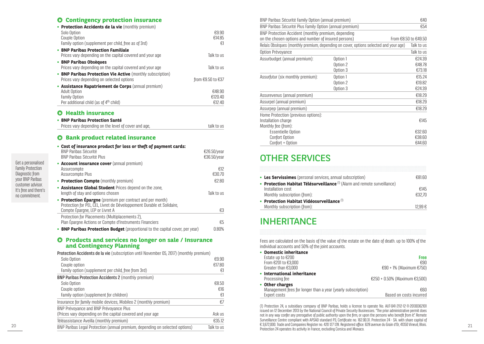### **Contingency protection insurance**

| • Protection Accidents de la vie (monthly premium)         |                   |
|------------------------------------------------------------|-------------------|
| Solo Option                                                | €9.90             |
| Couple Option                                              | €14.85            |
| Family option (supplement per child, free as of 3rd)       | €1                |
| • BNP Paribas Protection Familiale                         |                   |
| Prices vary depending on the capital covered and your age  | Talk to us        |
| • BNP Paribas Obsèques                                     |                   |
| Prices vary depending on the capital covered and your age  | Talk to us        |
| • BNP Paribas Protection Vie Active (monthly subscription) |                   |
| Prices vary depending on selected options                  | from €9.50 to €37 |
| • Assistance Rapatriement de Corps (annual premium)        |                   |
| <b>Adult Option</b>                                        | €48.90            |
| <b>Family Option</b>                                       | €120.40           |
| Per additional child (as of 4 <sup>th</sup> child)         | €12.40            |
|                                                            |                   |

## $O$  Health insurance

| • BNP Paribas Protection Santé                       |            |
|------------------------------------------------------|------------|
| Prices vary depending on the level of cover and age. | talk to us |

# **Bank product related insurance**

| • Cost of insurance product for loss or theft of payment cards:<br><b>BNP Paribas Sécurité</b><br><b>BNP Paribas Sécurité Plus</b>                                   | $E26.50$ /year<br>€36.50/vear |
|----------------------------------------------------------------------------------------------------------------------------------------------------------------------|-------------------------------|
| • Account insurance cover (annual premium)<br>Assurcompte<br>Assurcompte Plus                                                                                        | €12<br>€30.70                 |
| • Protection Compte (monthly premium)                                                                                                                                | £2.80                         |
| • Assistance Global Student Prices depend on the zone,<br>length of stay and options chosen                                                                          | Talk to us                    |
| • Protection Épargne (premium per contract and per month)<br>Protection for PEL CEL Livret de Développement Durable et Solidaire.<br>Compte Épargne, LEP or Livret A | €3                            |
| Protection for Placements (Multiplacements 2),<br>Plan Epargne Actions or Compte d'Instruments Financiers                                                            | €5                            |
| • BNP Paribas Protection Budget (proportional to the capital cover, per year)                                                                                        | 0.80%                         |

### **Products and services no longer on sale / Insurance and Contingency Planning**

| <b>Protection Accidents de la vie</b> (subscription until November 05, 2017) (monthly premium) |            |
|------------------------------------------------------------------------------------------------|------------|
| Solo Option                                                                                    | €9.90      |
| Couple option                                                                                  | €17.80     |
| Family option (supplement per child, free from 3rd)                                            | €1         |
| <b>BNP Paribas Protection Accidents 2 (monthly premium)</b>                                    |            |
| Solo Option                                                                                    | €8.50      |
| Couple option                                                                                  | £16        |
| Family option (supplement for children)                                                        | €1         |
| Insurance for family mobile devices, Mobileo 2 (monthly premium)                               | €7         |
| BNP Prévoyance and BNP Prévoyance Plus                                                         |            |
| (Prices vary depending on the capital covered and your age                                     | Ask us     |
| Téléassistance Aveilla (monthly premium)                                                       | €35.12     |
| BNP Paribas Legal Protection (annual premium, depending on selected options)                   | Talk to us |

| BNP Paribas Sécurité Family Option (annual premium)      |                                                                                      | €40                  |
|----------------------------------------------------------|--------------------------------------------------------------------------------------|----------------------|
| BNP Paribas Sécurité Plus Family Option (annual premium) |                                                                                      | €54                  |
| BNP Protection Accident (monthly premium, depending      |                                                                                      |                      |
| on the chosen options and number of insured persons)     |                                                                                      | From €8.50 to €49.50 |
|                                                          | Relais Obsèques (monthly premium, depending on cover, options selected and your age) | Talk to us           |
| Option Prévoyance                                        |                                                                                      | Talk to us           |
| Assurbudget (annual premium):                            | Option 1                                                                             | €24.39               |
|                                                          | Option 2                                                                             | €48.78               |
|                                                          | Option 3                                                                             | €73.18               |
| Assurfutur (six monthly premium):                        | Option 1                                                                             | €15.24               |
|                                                          | Option 2                                                                             | €19.82               |
|                                                          | Option 3                                                                             | €24.39               |
| Assurevenus (annual premium)                             |                                                                                      | €18.29               |
| Assurpel (annual premium)                                |                                                                                      | €18.29               |
| Assurpep (annual premium)                                |                                                                                      | €18.29               |
| Home Protection (previous options):                      |                                                                                      |                      |
| Installation charge                                      |                                                                                      | €145                 |
| Monthly fee (from):                                      |                                                                                      |                      |
| <b>Essentielle Option</b>                                |                                                                                      | €32.60               |
| Confort Option                                           |                                                                                      | €38.60               |
| Confort + Option                                         |                                                                                      | €44.60               |

# OTHER SERVICES

| • Les Servissimes (personal services, annual subscription)                           | €81 60  |
|--------------------------------------------------------------------------------------|---------|
| • Protection Habitat Télésurveillance <sup>(1)</sup> (Alarm and remote surveillance) |         |
| Installation cost                                                                    | €145    |
| Monthly subscription (from):                                                         | €3270   |
| • Protection Habitat Vidéosurveillance $^{(1)}$                                      |         |
| Monthly subscription (from):                                                         | 12 99 € |

# INHERITANCE

Fees are calculated on the basis of the value of the estate on the date of death. up to 100% of the individual accounts and 50% of the joint accounts.

| • Domestic inheritance                                       |                               |
|--------------------------------------------------------------|-------------------------------|
| Estate up to $E200$                                          | <b>Free</b>                   |
| From €201 to €3,000                                          | €90                           |
| Greater than €3,000                                          | €90 + 1% (Maximum €750)       |
| • International inheritance                                  |                               |
| Processing fee                                               | €250 + 0.50% (Maximum €3,500) |
| • Other charges                                              |                               |
| Management fees for longer than a year (yearly subscription) | €60                           |
| Expert costs                                                 | Based on costs incurred       |

20 21 22,672,000. Trade and Companies Register no. 420 127 128. Registered office: 628 avenue du Grain d'Or, 41350 Vineuil, Blois.<br>RNP Parthas Lenal Protection (annual premium depending on selected ontions) Talk to use an (1) Protection 24, a subsidiary company of BNP Paribas, holds a license to operate No. AUT-041-2112-12-11-20130362101 issued on 12 December 2013 by the National Council of Private Security Businesses. "The prior administrative permit does not in any way confer any prerogative of public authority upon the firm, or upon the persons who benefit from it". Remote Surveillance Centre compliant with APSAD standard P3, Certificate no. 162.00.31. Protection 24 - SA. with share capital of Protection 24 operates its activity in France, excluding Corsica and Monaco.

Get a personalised Family Protection Diagnostic from your BNP Paribas customer advisor. It's free and there's no commitment.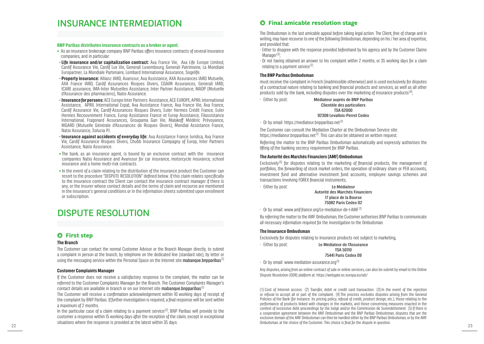# INSURANCE INTERMEDIATION

#### **BNP Paribas distributes insurance contracts as a broker or agent.**

- **•** As an insurance brokerage company BNP Paribas offers insurance contracts of several insurance companies, and in particular:
- **Life insurance and/or capitalization contract:** Axa France Vie, Axa Life Europe Limited, Cardif Assurance Vie, Cardif Lux Vie, Generali Luxembourg, Generali Patrimoine, La Mondiale Europartner, La Mondiale Partenaire, Lombard International Assurance, Sogelife.
- **Property insurance:** Allianz IARD, Avanssur, Axa Assistance, AXA Assurances IARD Mutuelle, AXA France IARD, Cardif Assurances Risques Divers, CGAIM Assurances, Generali IARD, ICARE assurance, IMA-Inter Mutuelles Assistance, Inter Partner Assistance, MADP (Mutuelle d'Assurance des pharmaciens), Natio Assurance.
- **Insurance for persons:** ACE Europe Inter Partners Assistance, ACE EUROPE, APRIL International Assistance, APRIL International Expat, Axa Assistance France, Axa France Vie, Axa France, Cardif Assurance Vie, Cardif-Assurances Risques Divers, Euler Hermes Crédit France, Euler Hermes Recouvrement France, Europ Assistance France et Europ Assistance, Filassistance International, Fragonard Assurances, Groupama Gan Vie, Malakoff Médéric Prévoyance, MGARD (Mutuelle Générale d'Assurances de Risques Divers), Mondial Assistance France, Natio Assurance, Solucia PJ.
- **Insurance against accidents of everyday life:** Axa Assistance France Juridica, Axa France Vie, Cardif Assurance Risques Divers, Chubb Insurance Compagny of Europ, Inter Partners Assistance, Natio Assurance.
- **•** The bank, as an insurance agent, is bound by an exclusive contract with the insurance companies Natio Assurance and Avanssur for car insurance, motorcycle insurance, school insurance and a home multi-risk contracts.
- **•** In the event of a claim relating to the distribution of the insurance product the Customer can resort to the procedure "DISPUTE RESOLUTION" defined below. If this claim relates specifically to the insurance contract the Client can contact the insurance contract manager if there is any, or the insurer whose contact details and the terms of claim and recourse are mentioned in the insurance's general conditions or in the information sheets submitted upon enrollment or subscription.

# DISPUTE RESOLUTION

## **First step**

#### **The Branch**

The Customer can contact the normal Customer Advisor or the Branch Manager directly, to submit a complaint in person at the branch, by telephone on the dedicated line (standard rate), by letter or using the messaging service within the Personal Space on the Internet site **mabanque.bnpparibas**<sup>(1)</sup>

#### **Customer Complaints Manager**

If the Customer does not receive a satisfactory response to the complaint, the matter can be referred to the Customer Complaints Manager for the Branch. The Customer Complaints Manager's contact details are available in branch or on our Internet site mahanque hnnnarihas<sup>(1)</sup>

The Customer will receive a confirmation acknowledgement within 10 working days of receipt of the complaint by BNP Paribas. If further investigation is required, a final response will be sent within a maximum of 2 months.

In the particular case of a claim relating to a payment service<sup>(2)</sup>. BNP Paribas will provide to the customer a response within 15 working days after the reception of the claim, except in exceptional situations where the response is provided at the latest within 35 days.

# **Final amicable resolution stage**

The Ombudsman is the last amicable appeal before taking legal action. The Client, free of charge and in writing, may have recourse to one of the following Ombudsman, depending on his / her area of expertise, and provided that:

- Either to disagree with the response provided beforehand by his agency and by the Customer Claims  $M$ anager $(3)$ ;

- Or not having obtained an answer to his complaint within 2 months, or 35 working days for a claim relating to a payment service $(2)$ .

### **The BNP Paribas Ombudsman**

must receive the complaint in French (inadmissible otherwise) and is used exclusively for disputes of a contractual nature relating to banking and financial products and services, as well as all other products sold by the bank, including disputes over the marketing of insurance products $(4)$ ,  $\frac{1}{2}$ 

- Either by post: Médiateur auprès de BNP Paribas

#### Clientèle des particuliers **TSA 62000**

#### 92308 Levallois-Perret Cedex

 $-$  Or by email: https://mediateur.bnpparibas.net<sup>(1)</sup>

The Customer can consult the Mediation Charter at the Ombudsman Service site: https://mediateur.bnpparibas.net<sup>(1)</sup>. This can also be obtained on written request.

Referring the matter to the BNP Paribas Ombudsman automatically and expressly authorises the lifting of the banking secrecy requirement for BNP Paribas.

### **The Autorité des Marchés Financiers (AMF) Ombudsman**

Exclusively<sup>(5)</sup> for disputes relating to the marketing of financial products, the management of portfolios, the forwarding of stock market orders, the operation of ordinary share or PEA accounts, investment fund and alternative investment fund accounts, employee savings schemes and transactions involving FOREX financial instruments,

- Either by post: Le Médiateur

Autorité des Marchés Financiers 17 place de la Bourse 75082 Paris Cedex 02

- Or by email: www.amf-france.org/Le-mediateur-de-l-AMF (1)

By referring the matter to the AMF Ombudsman, the Customer authorises BNP Paribas to communicate all necessary information required for the investigation to the Ombudsman.

### **The Insurance Ombudsman**

Exclusively for disputes relating to insurance products not subject to marketing,

- Either by post: Le Médiateur de l'Assurance

TSA 50110 75441 Paris Cedex 09

 $-$  Or by email: www.mediation-assurance.org<sup>(1)</sup>

Any disputes, arising from an online contract of sale or online services, can also be submit by email to the Online Dispute Resolution (ODR) platform at: https://webgate.ec.europa.eu/odr/

22 23 (1)Cost of Internet access. (2) Transfer, debit or credit card transaction. (3) In the event of the rejection or refusal to accept all or part of the complaint. (4)The process excludes disputes arising from the General Policies of the Bank (for instance: its pricing policy, refusal of credit, product design, etc.), those relating to the performance of products linked with changes in the markets, and those concerning measures enacted in the context of excessive debt proceedings by the Judge and/or the Commission de Surendettement. (5) If there is a cooperation agreement between the AMF Ombudsman and the BNP Paribas Ombudsman, disputes that are the exclusive domain of the AMF Ombudsman can then be handled either by the BNP Paribas Ombudsman, or by the AMF Ombudsman, at the choice of the Customer. This choice is final for the dispute in question.